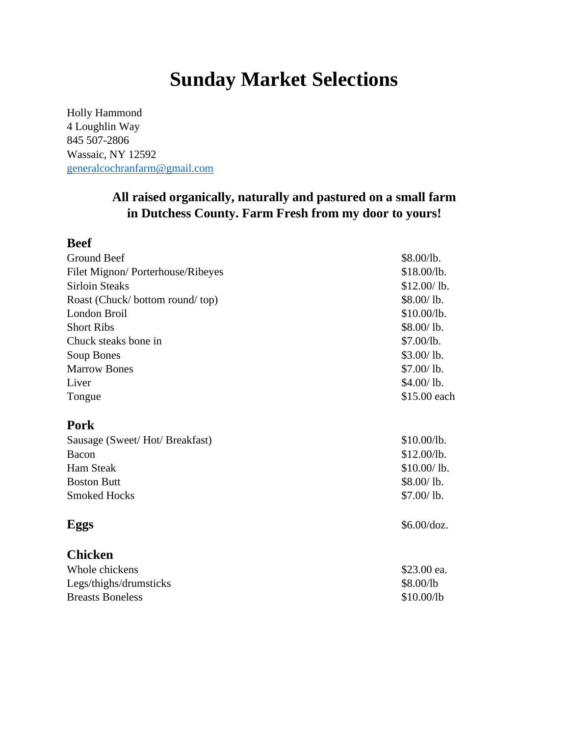## **Sunday Market Selections**

Holly Hammond 4 Loughlin Way 845 507-2806 Wassaic, NY 12592 [generalcochranfarm@gmail.com](mailto:generalcochranfarm@gmail.com)

 $\mathbf{B}$ 

## **All raised organically, naturally and pastured on a small farm in Dutchess County. Farm Fresh from my door to yours!**

| Beet                             |              |
|----------------------------------|--------------|
| Ground Beef                      | \$8.00/lb.   |
| Filet Mignon/Porterhouse/Ribeyes | \$18.00/lb.  |
| <b>Sirloin Steaks</b>            | \$12.00/1b.  |
| Roast (Chuck/bottom round/top)   | \$8.00/1b.   |
| London Broil                     | \$10.00/lb.  |
| <b>Short Ribs</b>                | \$8.00/lb.   |
| Chuck steaks bone in             | \$7.00/lb.   |
| Soup Bones                       | \$3.00/1b.   |
| <b>Marrow Bones</b>              | \$7.00/lb.   |
| Liver                            | \$4.00/1b.   |
| Tongue                           | \$15.00 each |
| <b>Pork</b>                      |              |
| Sausage (Sweet/Hot/Breakfast)    | \$10.00/lb.  |
| Bacon                            | \$12.00/lb.  |
| <b>Ham Steak</b>                 | \$10.00/1b.  |
| <b>Boston Butt</b>               | \$8.00/1b.   |
| <b>Smoked Hocks</b>              | \$7.00/1b.   |
| Eggs                             | \$6.00/doz.  |
| <b>Chicken</b>                   |              |
| Whole chickens                   | \$23.00 ea.  |
| Legs/thighs/drumsticks           | \$8.00/lb    |
| <b>Breasts Boneless</b>          | \$10.00/lb   |